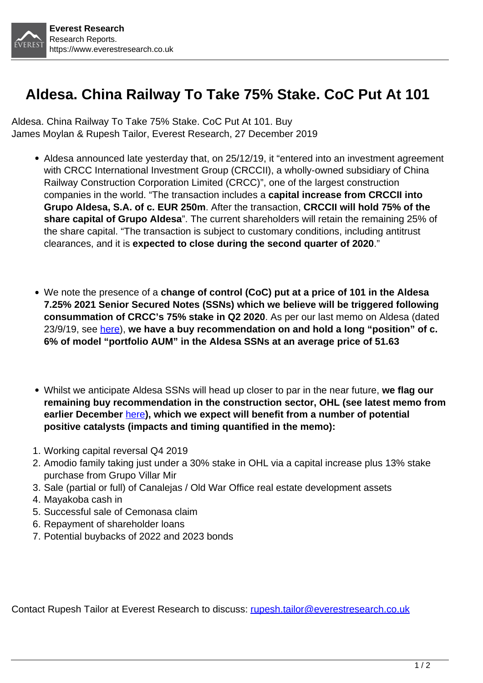

## **Aldesa. China Railway To Take 75% Stake. CoC Put At 101**

Aldesa. China Railway To Take 75% Stake. CoC Put At 101. Buy James Moylan & Rupesh Tailor, Everest Research, 27 December 2019

- Aldesa announced late yesterday that, on 25/12/19, it "entered into an investment agreement with CRCC International Investment Group (CRCCII), a wholly-owned subsidiary of China Railway Construction Corporation Limited (CRCC)", one of the largest construction companies in the world. "The transaction includes a **capital increase from CRCCII into Grupo Aldesa, S.A. of c. EUR 250m**. After the transaction, **CRCCII will hold 75% of the share capital of Grupo Aldesa**". The current shareholders will retain the remaining 25% of the share capital. "The transaction is subject to customary conditions, including antitrust clearances, and it is **expected to close during the second quarter of 2020**."
- We note the presence of a **change of control (CoC) put at a price of 101 in the Aldesa 7.25% 2021 Senior Secured Notes (SSNs) which we believe will be triggered following consummation of CRCC's 75% stake in Q2 2020**. As per our last memo on Aldesa (dated 23/9/19, see [here\)](https://www.everestresearch.co.uk/product/aldesa-memo-230919/), **we have a buy recommendation on and hold a long "position" of c. 6% of model "portfolio AUM" in the Aldesa SSNs at an average price of 51.63**
- Whilst we anticipate Aldesa SSNs will head up closer to par in the near future, **we flag our remaining buy recommendation in the construction sector, OHL (see latest memo from earlier December** [here](https://www.everestresearch.co.uk/product/ohl-memo-091219/)**), which we expect will benefit from a number of potential positive catalysts (impacts and timing quantified in the memo):**
- 1. Working capital reversal Q4 2019
- 2. Amodio family taking just under a 30% stake in OHL via a capital increase plus 13% stake purchase from Grupo Villar Mir
- 3. Sale (partial or full) of Canalejas / Old War Office real estate development assets
- 4. Mayakoba cash in
- 5. Successful sale of Cemonasa claim
- 6. Repayment of shareholder loans
- 7. Potential buybacks of 2022 and 2023 bonds

Contact Rupesh Tailor at Everest Research to discuss: [rupesh.tailor@everestresearch.co.uk](mailto:rupesh.tailor@everestresearch.co.uk)